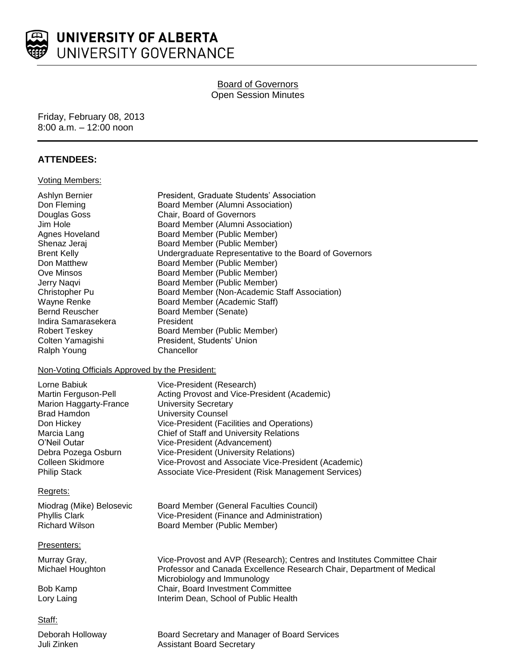

## **Board of Governors** Open Session Minutes

#### Friday, February 08, 2013 8:00 a.m. – 12:00 noon

## **ATTENDEES:**

#### Voting Members:

| Ashlyn Bernier<br>Don Fleming<br>Douglas Goss<br>Jim Hole<br><b>Agnes Hoveland</b><br>Shenaz Jeraj<br><b>Brent Kelly</b><br>Don Matthew<br>Ove Minsos<br>Jerry Naqvi<br>Christopher Pu<br>Wayne Renke<br><b>Bernd Reuscher</b><br>Indira Samarasekera<br><b>Robert Teskey</b><br>Colten Yamagishi<br>Ralph Young | President, Graduate Students' Association<br>Board Member (Alumni Association)<br>Chair, Board of Governors<br>Board Member (Alumni Association)<br>Board Member (Public Member)<br>Board Member (Public Member)<br>Undergraduate Representative to the Board of Governors<br>Board Member (Public Member)<br>Board Member (Public Member)<br>Board Member (Public Member)<br>Board Member (Non-Academic Staff Association)<br>Board Member (Academic Staff)<br>Board Member (Senate)<br>President<br>Board Member (Public Member)<br>President, Students' Union<br>Chancellor |
|------------------------------------------------------------------------------------------------------------------------------------------------------------------------------------------------------------------------------------------------------------------------------------------------------------------|--------------------------------------------------------------------------------------------------------------------------------------------------------------------------------------------------------------------------------------------------------------------------------------------------------------------------------------------------------------------------------------------------------------------------------------------------------------------------------------------------------------------------------------------------------------------------------|
| Non-Voting Officials Approved by the President:                                                                                                                                                                                                                                                                  |                                                                                                                                                                                                                                                                                                                                                                                                                                                                                                                                                                                |
| Lorne Babiuk<br>Martin Ferguson-Pell<br>Marion Haggarty-France<br><b>Brad Hamdon</b><br>Don Hickey<br>Marcia Lang<br>O'Neil Outar<br>Debra Pozega Osburn<br>Colleen Skidmore<br><b>Philip Stack</b>                                                                                                              | Vice-President (Research)<br>Acting Provost and Vice-President (Academic)<br><b>University Secretary</b><br><b>University Counsel</b><br>Vice-President (Facilities and Operations)<br>Chief of Staff and University Relations<br>Vice-President (Advancement)<br>Vice-President (University Relations)<br>Vice-Provost and Associate Vice-President (Academic)<br>Associate Vice-President (Risk Management Services)                                                                                                                                                         |
| Regrets:                                                                                                                                                                                                                                                                                                         |                                                                                                                                                                                                                                                                                                                                                                                                                                                                                                                                                                                |
| Miodrag (Mike) Belosevic<br><b>Phyllis Clark</b><br><b>Richard Wilson</b>                                                                                                                                                                                                                                        | <b>Board Member (General Faculties Council)</b><br>Vice-President (Finance and Administration)<br>Board Member (Public Member)                                                                                                                                                                                                                                                                                                                                                                                                                                                 |
| Presenters:                                                                                                                                                                                                                                                                                                      |                                                                                                                                                                                                                                                                                                                                                                                                                                                                                                                                                                                |
| Murray Gray,<br>Michael Houghton<br><b>Bob Kamp</b><br>Lory Laing                                                                                                                                                                                                                                                | Vice-Provost and AVP (Research); Centres and Institutes Committee Chair<br>Professor and Canada Excellence Research Chair, Department of Medical<br>Microbiology and Immunology<br>Chair, Board Investment Committee<br>Interim Dean, School of Public Health                                                                                                                                                                                                                                                                                                                  |
| Staff:                                                                                                                                                                                                                                                                                                           |                                                                                                                                                                                                                                                                                                                                                                                                                                                                                                                                                                                |
| Deborah Holloway<br>Juli Zinken                                                                                                                                                                                                                                                                                  | Board Secretary and Manager of Board Services<br><b>Assistant Board Secretary</b>                                                                                                                                                                                                                                                                                                                                                                                                                                                                                              |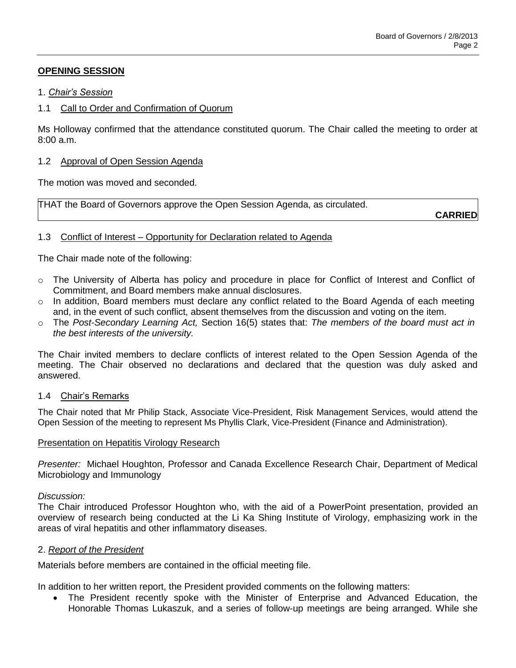# **OPENING SESSION**

### 1. *Chair's Session*

## 1.1 Call to Order and Confirmation of Quorum

Ms Holloway confirmed that the attendance constituted quorum. The Chair called the meeting to order at 8:00 a.m.

#### 1.2 Approval of Open Session Agenda

The motion was moved and seconded.

THAT the Board of Governors approve the Open Session Agenda, as circulated.

**CARRIED**

### 1.3 Conflict of Interest – Opportunity for Declaration related to Agenda

The Chair made note of the following:

- o The University of Alberta has policy and procedure in place for Conflict of Interest and Conflict of Commitment, and Board members make annual disclosures.
- $\circ$  In addition, Board members must declare any conflict related to the Board Agenda of each meeting and, in the event of such conflict, absent themselves from the discussion and voting on the item.
- o The *Post-Secondary Learning Act,* Section 16(5) states that: *The members of the board must act in the best interests of the university.*

The Chair invited members to declare conflicts of interest related to the Open Session Agenda of the meeting. The Chair observed no declarations and declared that the question was duly asked and answered.

#### 1.4 Chair's Remarks

The Chair noted that Mr Philip Stack, Associate Vice-President, Risk Management Services, would attend the Open Session of the meeting to represent Ms Phyllis Clark, Vice-President (Finance and Administration).

#### Presentation on Hepatitis Virology Research

*Presenter:* Michael Houghton, Professor and Canada Excellence Research Chair, Department of Medical Microbiology and Immunology

#### *Discussion:*

The Chair introduced Professor Houghton who, with the aid of a PowerPoint presentation, provided an overview of research being conducted at the Li Ka Shing Institute of Virology, emphasizing work in the areas of viral hepatitis and other inflammatory diseases.

#### 2. *Report of the President*

Materials before members are contained in the official meeting file.

In addition to her written report, the President provided comments on the following matters:

 The President recently spoke with the Minister of Enterprise and Advanced Education, the Honorable Thomas Lukaszuk, and a series of follow-up meetings are being arranged. While she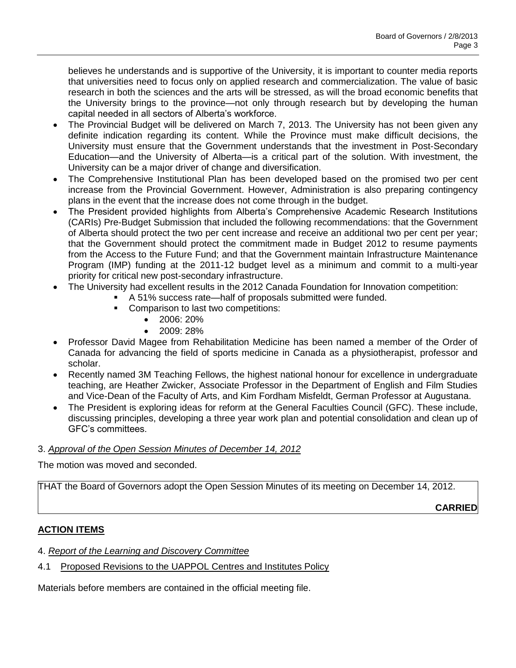believes he understands and is supportive of the University, it is important to counter media reports that universities need to focus only on applied research and commercialization. The value of basic research in both the sciences and the arts will be stressed, as will the broad economic benefits that the University brings to the province—not only through research but by developing the human capital needed in all sectors of Alberta's workforce.

- The Provincial Budget will be delivered on March 7, 2013. The University has not been given any definite indication regarding its content. While the Province must make difficult decisions, the University must ensure that the Government understands that the investment in Post-Secondary Education—and the University of Alberta—is a critical part of the solution. With investment, the University can be a major driver of change and diversification.
- The Comprehensive Institutional Plan has been developed based on the promised two per cent increase from the Provincial Government. However, Administration is also preparing contingency plans in the event that the increase does not come through in the budget.
- The President provided highlights from Alberta's Comprehensive Academic Research Institutions (CARIs) Pre-Budget Submission that included the following recommendations: that the Government of Alberta should protect the two per cent increase and receive an additional two per cent per year; that the Government should protect the commitment made in Budget 2012 to resume payments from the Access to the Future Fund; and that the Government maintain Infrastructure Maintenance Program (IMP) funding at the 2011-12 budget level as a minimum and commit to a multi-year priority for critical new post-secondary infrastructure.
- The University had excellent results in the 2012 Canada Foundation for Innovation competition:
	- A 51% success rate—half of proposals submitted were funded.
		- Comparison to last two competitions:
			- $\bullet$  2006: 20%
			- 2009: 28%
- Professor David Magee from Rehabilitation Medicine has been named a member of the Order of Canada for advancing the field of sports medicine in Canada as a physiotherapist, professor and scholar.
- Recently named 3M Teaching Fellows, the highest national honour for excellence in undergraduate teaching, are Heather Zwicker, Associate Professor in the Department of English and Film Studies and Vice-Dean of the Faculty of Arts, and Kim Fordham Misfeldt, German Professor at Augustana.
- The President is exploring ideas for reform at the General Faculties Council (GFC). These include, discussing principles, developing a three year work plan and potential consolidation and clean up of GFC's committees.

## 3. *Approval of the Open Session Minutes of December 14, 2012*

The motion was moved and seconded.

THAT the Board of Governors adopt the Open Session Minutes of its meeting on December 14, 2012.

**CARRIED**

# **ACTION ITEMS**

- 4. *Report of the Learning and Discovery Committee*
- 4.1 Proposed Revisions to the UAPPOL Centres and Institutes Policy

Materials before members are contained in the official meeting file.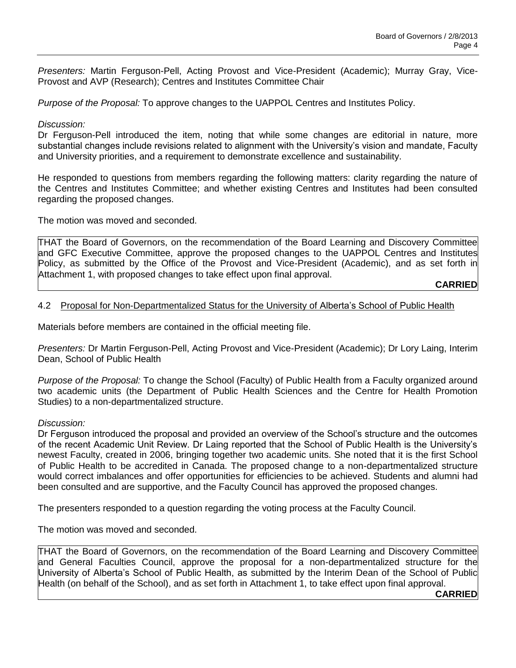*Presenters:* Martin Ferguson-Pell, Acting Provost and Vice-President (Academic); Murray Gray, Vice-Provost and AVP (Research); Centres and Institutes Committee Chair

*Purpose of the Proposal:* To approve changes to the UAPPOL Centres and Institutes Policy.

#### *Discussion:*

Dr Ferguson-Pell introduced the item, noting that while some changes are editorial in nature, more substantial changes include revisions related to alignment with the University's vision and mandate, Faculty and University priorities, and a requirement to demonstrate excellence and sustainability.

He responded to questions from members regarding the following matters: clarity regarding the nature of the Centres and Institutes Committee; and whether existing Centres and Institutes had been consulted regarding the proposed changes.

The motion was moved and seconded.

THAT the Board of Governors, on the recommendation of the Board Learning and Discovery Committee and GFC Executive Committee, approve the proposed changes to the UAPPOL Centres and Institutes Policy, as submitted by the Office of the Provost and Vice-President (Academic), and as set forth in Attachment 1, with proposed changes to take effect upon final approval.

**CARRIED**

### 4.2 Proposal for Non-Departmentalized Status for the University of Alberta's School of Public Health

Materials before members are contained in the official meeting file.

*Presenters:* Dr Martin Ferguson-Pell, Acting Provost and Vice-President (Academic); Dr Lory Laing, Interim Dean, School of Public Health

*Purpose of the Proposal:* To change the School (Faculty) of Public Health from a Faculty organized around two academic units (the Department of Public Health Sciences and the Centre for Health Promotion Studies) to a non-departmentalized structure.

#### *Discussion:*

Dr Ferguson introduced the proposal and provided an overview of the School's structure and the outcomes of the recent Academic Unit Review. Dr Laing reported that the School of Public Health is the University's newest Faculty, created in 2006, bringing together two academic units. She noted that it is the first School of Public Health to be accredited in Canada. The proposed change to a non-departmentalized structure would correct imbalances and offer opportunities for efficiencies to be achieved. Students and alumni had been consulted and are supportive, and the Faculty Council has approved the proposed changes.

The presenters responded to a question regarding the voting process at the Faculty Council.

The motion was moved and seconded.

THAT the Board of Governors, on the recommendation of the Board Learning and Discovery Committee and General Faculties Council, approve the proposal for a non-departmentalized structure for the University of Alberta's School of Public Health, as submitted by the Interim Dean of the School of Public Health (on behalf of the School), and as set forth in Attachment 1, to take effect upon final approval.

**CARRIED**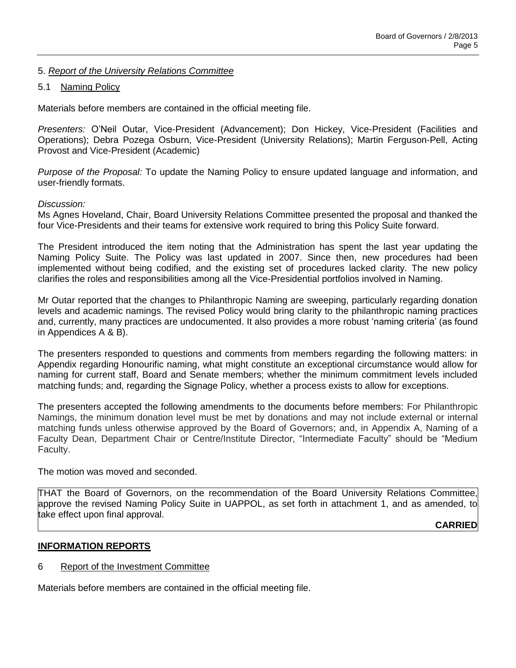## 5. *Report of the University Relations Committee*

#### 5.1 Naming Policy

Materials before members are contained in the official meeting file.

*Presenters:* O'Neil Outar, Vice-President (Advancement); Don Hickey, Vice-President (Facilities and Operations); Debra Pozega Osburn, Vice-President (University Relations); Martin Ferguson-Pell, Acting Provost and Vice-President (Academic)

*Purpose of the Proposal:* To update the Naming Policy to ensure updated language and information, and user-friendly formats.

#### *Discussion:*

Ms Agnes Hoveland, Chair, Board University Relations Committee presented the proposal and thanked the four Vice-Presidents and their teams for extensive work required to bring this Policy Suite forward.

The President introduced the item noting that the Administration has spent the last year updating the Naming Policy Suite. The Policy was last updated in 2007. Since then, new procedures had been implemented without being codified, and the existing set of procedures lacked clarity. The new policy clarifies the roles and responsibilities among all the Vice-Presidential portfolios involved in Naming.

Mr Outar reported that the changes to Philanthropic Naming are sweeping, particularly regarding donation levels and academic namings. The revised Policy would bring clarity to the philanthropic naming practices and, currently, many practices are undocumented. It also provides a more robust 'naming criteria' (as found in Appendices A & B).

The presenters responded to questions and comments from members regarding the following matters: in Appendix regarding Honourific naming, what might constitute an exceptional circumstance would allow for naming for current staff, Board and Senate members; whether the minimum commitment levels included matching funds; and, regarding the Signage Policy, whether a process exists to allow for exceptions.

The presenters accepted the following amendments to the documents before members: For Philanthropic Namings, the minimum donation level must be met by donations and may not include external or internal matching funds unless otherwise approved by the Board of Governors; and, in Appendix A, Naming of a Faculty Dean, Department Chair or Centre/Institute Director, "Intermediate Faculty" should be "Medium Faculty.

The motion was moved and seconded.

THAT the Board of Governors, on the recommendation of the Board University Relations Committee, approve the revised Naming Policy Suite in UAPPOL, as set forth in attachment 1, and as amended, to take effect upon final approval.

**CARRIED**

#### **INFORMATION REPORTS**

#### 6 Report of the Investment Committee

Materials before members are contained in the official meeting file.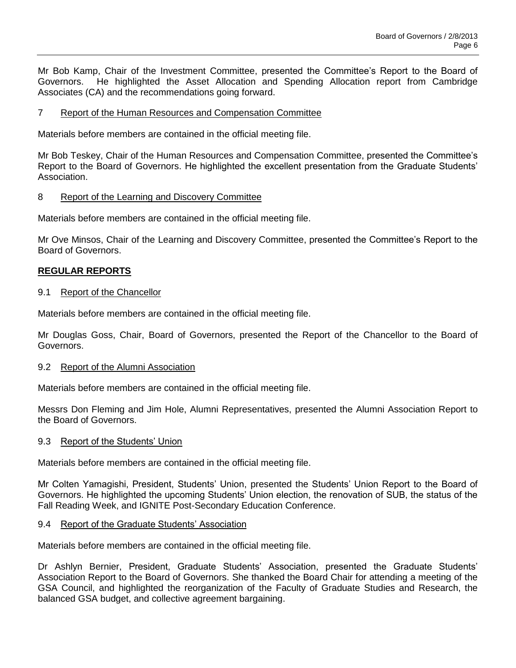Mr Bob Kamp, Chair of the Investment Committee, presented the Committee's Report to the Board of Governors. He highlighted the Asset Allocation and Spending Allocation report from Cambridge Associates (CA) and the recommendations going forward.

### 7 Report of the Human Resources and Compensation Committee

Materials before members are contained in the official meeting file.

Mr Bob Teskey, Chair of the Human Resources and Compensation Committee, presented the Committee's Report to the Board of Governors. He highlighted the excellent presentation from the Graduate Students' Association.

### 8 Report of the Learning and Discovery Committee

Materials before members are contained in the official meeting file.

Mr Ove Minsos, Chair of the Learning and Discovery Committee, presented the Committee's Report to the Board of Governors.

## **REGULAR REPORTS**

#### 9.1 Report of the Chancellor

Materials before members are contained in the official meeting file.

Mr Douglas Goss, Chair, Board of Governors, presented the Report of the Chancellor to the Board of Governors.

#### 9.2 Report of the Alumni Association

Materials before members are contained in the official meeting file.

Messrs Don Fleming and Jim Hole, Alumni Representatives, presented the Alumni Association Report to the Board of Governors.

#### 9.3 Report of the Students' Union

Materials before members are contained in the official meeting file.

Mr Colten Yamagishi, President, Students' Union, presented the Students' Union Report to the Board of Governors. He highlighted the upcoming Students' Union election, the renovation of SUB, the status of the Fall Reading Week, and IGNITE Post-Secondary Education Conference.

#### 9.4 Report of the Graduate Students' Association

Materials before members are contained in the official meeting file.

Dr Ashlyn Bernier, President, Graduate Students' Association, presented the Graduate Students' Association Report to the Board of Governors. She thanked the Board Chair for attending a meeting of the GSA Council, and highlighted the reorganization of the Faculty of Graduate Studies and Research, the balanced GSA budget, and collective agreement bargaining.